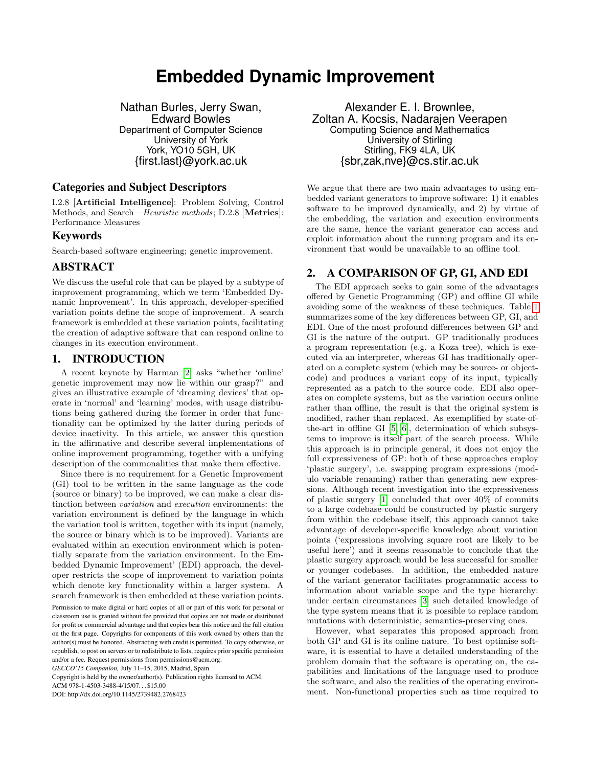# **Embedded Dynamic Improvement**

Nathan Burles, Jerry Swan, Edward Bowles Department of Computer Science University of York York, YO10 5GH, UK {first.last}@york.ac.uk

# Categories and Subject Descriptors

I.2.8 [Artificial Intelligence]: Problem Solving, Control Methods, and Search—Heuristic methods; D.2.8 [Metrics]: Performance Measures

#### Keywords

Search-based software engineering; genetic improvement.

## ABSTRACT

We discuss the useful role that can be played by a subtype of improvement programming, which we term 'Embedded Dynamic Improvement'. In this approach, developer-specified variation points define the scope of improvement. A search framework is embedded at these variation points, facilitating the creation of adaptive software that can respond online to changes in its execution environment.

## 1. INTRODUCTION

A recent keynote by Harman [\[2\]](#page-1-0) asks "whether 'online' genetic improvement may now lie within our grasp?" and gives an illustrative example of 'dreaming devices' that operate in 'normal' and 'learning' modes, with usage distributions being gathered during the former in order that functionality can be optimized by the latter during periods of device inactivity. In this article, we answer this question in the affirmative and describe several implementations of online improvement programming, together with a unifying description of the commonalities that make them effective.

Since there is no requirement for a Genetic Improvement (GI) tool to be written in the same language as the code (source or binary) to be improved, we can make a clear distinction between variation and execution environments: the variation environment is defined by the language in which the variation tool is written, together with its input (namely, the source or binary which is to be improved). Variants are evaluated within an execution environment which is potentially separate from the variation environment. In the Embedded Dynamic Improvement' (EDI) approach, the developer restricts the scope of improvement to variation points which denote key functionality within a larger system. A search framework is then embedded at these variation points.

*GECCO'15 Companion,* July 11–15, 2015, Madrid, Spain

Copyright is held by the owner/author(s). Publication rights licensed to ACM.

ACM 978-1-4503-3488-4/15/07. . . \$15.00

DOI: http://dx.doi.org/10.1145/2739482.2768423

Alexander E. I. Brownlee, Zoltan A. Kocsis, Nadarajen Veerapen Computing Science and Mathematics University of Stirling Stirling, FK9 4LA, UK {sbr,zak,nve}@cs.stir.ac.uk

We argue that there are two main advantages to using embedded variant generators to improve software: 1) it enables software to be improved dynamically, and 2) by virtue of the embedding, the variation and execution environments are the same, hence the variant generator can access and exploit information about the running program and its environment that would be unavailable to an offline tool.

## 2. A COMPARISON OF GP, GI, AND EDI

The EDI approach seeks to gain some of the advantages offered by Genetic Programming (GP) and offline GI while avoiding some of the weakness of these techniques. Table [1](#page-1-1) summarizes some of the key differences between GP, GI, and EDI. One of the most profound differences between GP and GI is the nature of the output. GP traditionally produces a program representation (e.g. a Koza tree), which is executed via an interpreter, whereas GI has traditionally operated on a complete system (which may be source- or objectcode) and produces a variant copy of its input, typically represented as a patch to the source code. EDI also operates on complete systems, but as the variation occurs online rather than offline, the result is that the original system is modified, rather than replaced. As exemplified by state-ofthe-art in offline GI [\[5,](#page-1-2) [6\]](#page-1-3), determination of which subsystems to improve is itself part of the search process. While this approach is in principle general, it does not enjoy the full expressiveness of GP: both of these approaches employ 'plastic surgery', i.e. swapping program expressions (modulo variable renaming) rather than generating new expressions. Although recent investigation into the expressiveness of plastic surgery  $[1]$  concluded that over  $40\%$  of commits to a large codebase could be constructed by plastic surgery from within the codebase itself, this approach cannot take advantage of developer-specific knowledge about variation points ('expressions involving square root are likely to be useful here') and it seems reasonable to conclude that the plastic surgery approach would be less successful for smaller or younger codebases. In addition, the embedded nature of the variant generator facilitates programmatic access to information about variable scope and the type hierarchy: under certain circumstances [\[3\]](#page-1-5) such detailed knowledge of the type system means that it is possible to replace random mutations with deterministic, semantics-preserving ones.

However, what separates this proposed approach from both GP and GI is its online nature. To best optimise software, it is essential to have a detailed understanding of the problem domain that the software is operating on, the capabilities and limitations of the language used to produce the software, and also the realities of the operating environment. Non-functional properties such as time required to

Permission to make digital or hard copies of all or part of this work for personal or classroom use is granted without fee provided that copies are not made or distributed for profit or commercial advantage and that copies bear this notice and the full citation on the first page. Copyrights for components of this work owned by others than the author(s) must be honored. Abstracting with credit is permitted. To copy otherwise, or republish, to post on servers or to redistribute to lists, requires prior specific permission and/or a fee. Request permissions from permissions@acm.org.